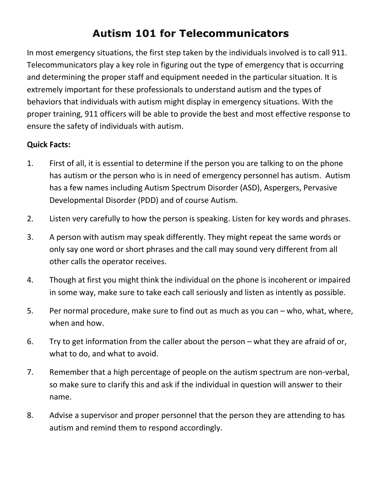## **Autism 101 for Telecommunicators**

In most emergency situations, the first step taken by the individuals involved is to call 911. Telecommunicators play a key role in figuring out the type of emergency that is occurring and determining the proper staff and equipment needed in the particular situation. It is extremely important for these professionals to understand autism and the types of behaviors that individuals with autism might display in emergency situations. With the proper training, 911 officers will be able to provide the best and most effective response to ensure the safety of individuals with autism.

## **Quick Facts:**

- 1. First of all, it is essential to determine if the person you are talking to on the phone has autism or the person who is in need of emergency personnel has autism. Autism has a few names including Autism Spectrum Disorder (ASD), Aspergers, Pervasive Developmental Disorder (PDD) and of course Autism.
- 2. Listen very carefully to how the person is speaking. Listen for key words and phrases.
- 3. A person with autism may speak differently. They might repeat the same words or only say one word or short phrases and the call may sound very different from all other calls the operator receives.
- 4. Though at first you might think the individual on the phone is incoherent or impaired in some way, make sure to take each call seriously and listen as intently as possible.
- 5. Per normal procedure, make sure to find out as much as you can who, what, where, when and how.
- 6. Try to get information from the caller about the person what they are afraid of or, what to do, and what to avoid.
- 7. Remember that a high percentage of people on the autism spectrum are non-verbal, so make sure to clarify this and ask if the individual in question will answer to their name.
- 8. Advise a supervisor and proper personnel that the person they are attending to has autism and remind them to respond accordingly.